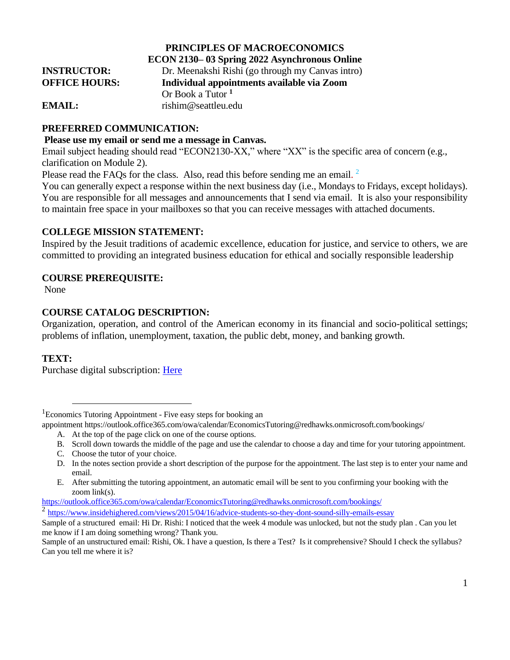## **PRINCIPLES OF MACROECONOMICS ECON 2130– 03 Spring 2022 Asynchronous Online INSTRUCTOR:** Dr. Meenakshi Rishi (go through my Canvas intro) **OFFICE HOURS: Individual appointments available via Zoom**  Or Book a Tutor **<sup>1</sup> EMAIL:** rishim@seattleu.edu

### **PREFERRED COMMUNICATION:**

### **Please use my email or send me a message in Canvas.**

Email subject heading should read "ECON2130-XX," where "XX" is the specific area of concern (e.g., clarification on Module 2).

Please read the FAQs for the class. Also, read this before sending me an email.  $2$ 

You can generally expect a response within the next business day (i.e., Mondays to Fridays, except holidays). You are responsible for all messages and announcements that I send via email. It is also your responsibility to maintain free space in your mailboxes so that you can receive messages with attached documents.

### **COLLEGE MISSION STATEMENT:**

Inspired by the Jesuit traditions of academic excellence, education for justice, and service to others, we are committed to providing an integrated business education for ethical and socially responsible leadership

### **COURSE PREREQUISITE:**

None

### **COURSE CATALOG DESCRIPTION:**

Organization, operation, and control of the American economy in its financial and socio-political settings; problems of inflation, unemployment, taxation, the public debt, money, and banking growth.

### **TEXT:**

Purchase digital subscription: [Here](https://www.bkstr.com/seattleucampusstore/course-materials-results?shopBy=course&divisionDisplayName=%7C&departmentDisplayName=ECON%7CECON&courseDisplayName=2130%7C2130§ionDisplayName=02%7C03&programId=3771&termId=100073584)

<https://outlook.office365.com/owa/calendar/EconomicsTutoring@redhawks.onmicrosoft.com/bookings/>

<sup>2</sup> <https://www.insidehighered.com/views/2015/04/16/advice-students-so-they-dont-sound-silly-emails-essay>

<sup>&</sup>lt;sup>1</sup>Economics Tutoring Appointment - Five easy steps for booking an

appointment [https://outlook.office365.com/owa/calendar/EconomicsTutoring@redhawks.onmicrosoft.com/bookings/](https://nam02.safelinks.protection.outlook.com/?url=https%3A%2F%2Foutlook.office365.com%2Fowa%2Fcalendar%2FEconomicsTutoring%40redhawks.onmicrosoft.com%2Fbookings%2F&data=04%7C01%7Crishim%40seattleu.edu%7C0184051c378d42c8602208d89ae909fb%7Cbc10e052b01c48499967ee7ec74fc9d8%7C0%7C0%7C637429672971384501%7CUnknown%7CTWFpbGZsb3d8eyJWIjoiMC4wLjAwMDAiLCJQIjoiV2luMzIiLCJBTiI6Ik1haWwiLCJXVCI6Mn0%3D%7C1000&sdata=eC%2Fz%2BBeZLA8T%2FC7y9gvcvZ8z0L%2Ffhqe3H1kT5keH2ls%3D&reserved=0)

A. At the top of the page click on one of the course options.

B. Scroll down towards the middle of the page and use the calendar to choose a day and time for your tutoring appointment.

C. Choose the tutor of your choice.

D. In the notes section provide a short description of the purpose for the appointment. The last step is to enter your name and email.

E. After submitting the tutoring appointment, an automatic email will be sent to you confirming your booking with the zoom link(s).

Sample of a structured email: Hi Dr. Rishi: I noticed that the week 4 module was unlocked, but not the study plan . Can you let me know if I am doing something wrong? Thank you.

Sample of an unstructured email: Rishi, Ok. I have a question, Is there a Test? Is it comprehensive? Should I check the syllabus? Can you tell me where it is?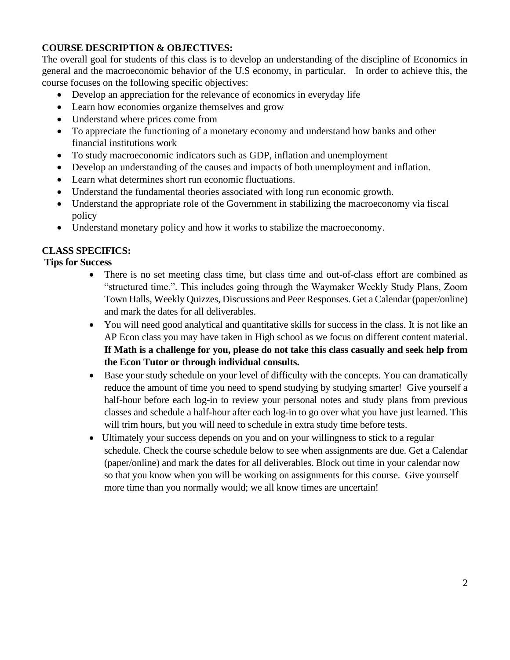## **COURSE DESCRIPTION & OBJECTIVES:**

The overall goal for students of this class is to develop an understanding of the discipline of Economics in general and the macroeconomic behavior of the U.S economy, in particular. In order to achieve this, the course focuses on the following specific objectives:

- Develop an appreciation for the relevance of economics in everyday life
- Learn how economies organize themselves and grow
- Understand where prices come from
- To appreciate the functioning of a monetary economy and understand how banks and other financial institutions work
- To study macroeconomic indicators such as GDP, inflation and unemployment
- Develop an understanding of the causes and impacts of both unemployment and inflation.
- Learn what determines short run economic fluctuations.
- Understand the fundamental theories associated with long run economic growth.
- Understand the appropriate role of the Government in stabilizing the macroeconomy via fiscal policy
- Understand monetary policy and how it works to stabilize the macroeconomy.

## **CLASS SPECIFICS:**

## **Tips for Success**

- There is no set meeting class time, but class time and out-of-class effort are combined as "structured time.". This includes going through the Waymaker Weekly Study Plans, Zoom Town Halls, Weekly Quizzes, Discussions and Peer Responses. Get a Calendar (paper/online) and mark the dates for all deliverables.
- You will need good analytical and quantitative skills for success in the class. It is not like an AP Econ class you may have taken in High school as we focus on different content material. **If Math is a challenge for you, please do not take this class casually and seek help from the Econ Tutor or through individual consults.**
- Base your study schedule on your level of difficulty with the concepts. You can dramatically reduce the amount of time you need to spend studying by studying smarter! Give yourself a half-hour before each log-in to review your personal notes and study plans from previous classes and schedule a half-hour after each log-in to go over what you have just learned. This will trim hours, but you will need to schedule in extra study time before tests.
- Ultimately your success depends on you and on your willingness to stick to a regular schedule. Check the course schedule below to see when assignments are due. Get a Calendar (paper/online) and mark the dates for all deliverables. Block out time in your calendar now so that you know when you will be working on assignments for this course. Give yourself more time than you normally would; we all know times are uncertain!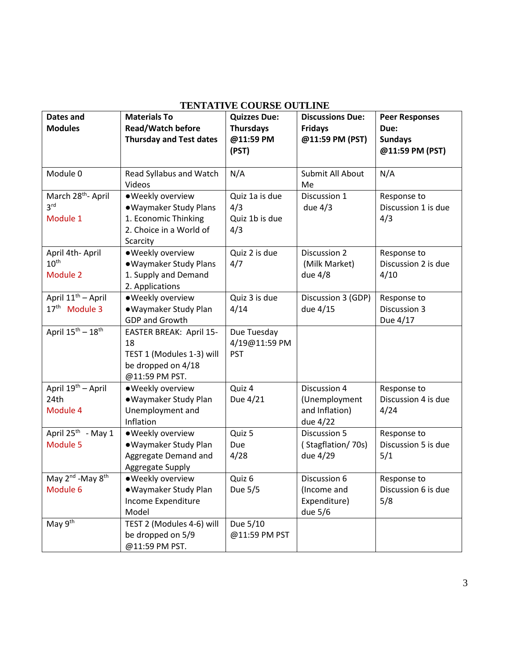| Dates and                                 |                                                 | TERIAITVE COUNSE OUTEIRE                |                                           |                               |
|-------------------------------------------|-------------------------------------------------|-----------------------------------------|-------------------------------------------|-------------------------------|
| <b>Modules</b>                            | <b>Materials To</b><br><b>Read/Watch before</b> | <b>Quizzes Due:</b><br><b>Thursdays</b> | <b>Discussions Due:</b><br><b>Fridays</b> | <b>Peer Responses</b><br>Due: |
|                                           | <b>Thursday and Test dates</b>                  | @11:59 PM                               | @11:59 PM (PST)                           | <b>Sundays</b>                |
|                                           |                                                 | (PST)                                   |                                           | @11:59 PM (PST)               |
|                                           |                                                 |                                         |                                           |                               |
| Module 0                                  | Read Syllabus and Watch                         | N/A                                     | Submit All About                          | N/A                           |
|                                           | Videos                                          |                                         | Me                                        |                               |
| March 28 <sup>th</sup> - April            | ·Weekly overview                                | Quiz 1a is due                          | Discussion 1                              | Response to                   |
| 3 <sup>rd</sup>                           | ·Waymaker Study Plans                           | 4/3                                     | due $4/3$                                 | Discussion 1 is due           |
| Module 1                                  | 1. Economic Thinking                            | Quiz 1b is due                          |                                           | 4/3                           |
|                                           | 2. Choice in a World of                         | 4/3                                     |                                           |                               |
|                                           | Scarcity                                        |                                         |                                           |                               |
| April 4th- April                          | ·Weekly overview                                | Quiz 2 is due                           | Discussion 2                              | Response to                   |
| 10 <sup>th</sup>                          | · Waymaker Study Plans                          | 4/7                                     | (Milk Market)                             | Discussion 2 is due           |
| Module 2                                  | 1. Supply and Demand                            |                                         | due 4/8                                   | 4/10                          |
|                                           | 2. Applications                                 |                                         |                                           |                               |
| April 11 <sup>th</sup> - April            | ·Weekly overview                                | Quiz 3 is due                           | Discussion 3 (GDP)                        | Response to                   |
| 17 <sup>th</sup> Module 3                 | ·Waymaker Study Plan                            | 4/14                                    | due 4/15                                  | Discussion 3                  |
|                                           | <b>GDP and Growth</b>                           |                                         |                                           | Due 4/17                      |
| April 15 <sup>th</sup> - 18 <sup>th</sup> | <b>EASTER BREAK: April 15-</b>                  | Due Tuesday                             |                                           |                               |
|                                           | 18                                              | 4/19@11:59 PM                           |                                           |                               |
|                                           | TEST 1 (Modules 1-3) will                       | <b>PST</b>                              |                                           |                               |
|                                           | be dropped on 4/18                              |                                         |                                           |                               |
|                                           | @11:59 PM PST.                                  |                                         |                                           |                               |
| April 19 <sup>th</sup> - April            | ·Weekly overview                                | Quiz 4                                  | Discussion 4                              | Response to                   |
| 24th                                      | ·Waymaker Study Plan                            | Due 4/21                                | (Unemployment                             | Discussion 4 is due           |
| Module 4                                  | Unemployment and                                |                                         | and Inflation)                            | 4/24                          |
|                                           | Inflation                                       |                                         | due 4/22                                  |                               |
| April 25 <sup>th</sup> - May 1            | ·Weekly overview                                | Quiz 5                                  | Discussion 5                              | Response to                   |
| Module 5                                  | ·Waymaker Study Plan                            | Due                                     | (Stagflation/70s)                         | Discussion 5 is due           |
|                                           | Aggregate Demand and                            | 4/28                                    | due 4/29                                  | 5/1                           |
|                                           | Aggregate Supply                                |                                         |                                           |                               |
| May 2 <sup>nd</sup> -May 8 <sup>th</sup>  | · Weekly overview                               | Quiz 6                                  | Discussion 6                              | Response to                   |
| Module 6                                  | ·Waymaker Study Plan                            | Due 5/5                                 | (Income and                               | Discussion 6 is due           |
|                                           | Income Expenditure                              |                                         | Expenditure)                              | 5/8                           |
|                                           | Model                                           |                                         | due 5/6                                   |                               |
| May $9^{\overline{th}}$                   | TEST 2 (Modules 4-6) will                       | Due 5/10                                |                                           |                               |
|                                           | be dropped on 5/9                               | @11:59 PM PST                           |                                           |                               |
|                                           | @11:59 PM PST.                                  |                                         |                                           |                               |

# **TENTATIVE COURSE OUTLINE**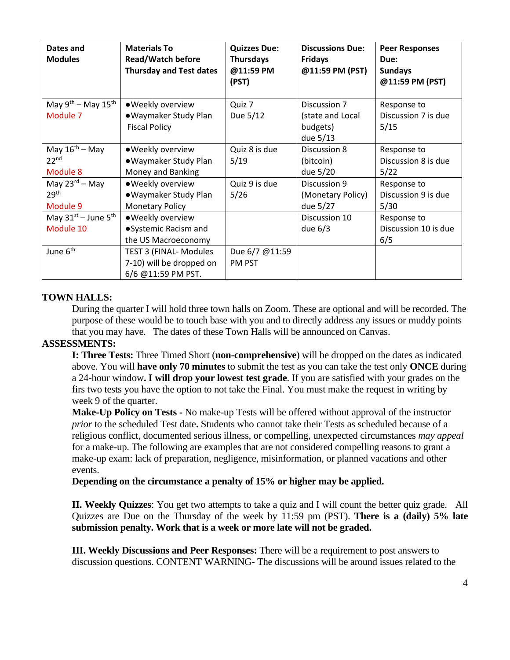| Dates and<br><b>Modules</b>   | <b>Materials To</b><br><b>Read/Watch before</b><br><b>Thursday and Test dates</b> | <b>Quizzes Due:</b><br><b>Thursdays</b><br>@11:59 PM<br>(PST) | <b>Discussions Due:</b><br><b>Fridays</b><br>@11:59 PM (PST) | <b>Peer Responses</b><br>Due:<br><b>Sundays</b><br>@11:59 PM (PST) |
|-------------------------------|-----------------------------------------------------------------------------------|---------------------------------------------------------------|--------------------------------------------------------------|--------------------------------------------------------------------|
| May $9^{th}$ – May $15^{th}$  | · Weekly overview                                                                 | Quiz 7                                                        | Discussion 7                                                 | Response to                                                        |
| Module 7                      | •Waymaker Study Plan                                                              | Due 5/12                                                      | (state and Local                                             | Discussion 7 is due                                                |
|                               | <b>Fiscal Policy</b>                                                              |                                                               | budgets)                                                     | 5/15                                                               |
|                               |                                                                                   |                                                               | due 5/13                                                     |                                                                    |
| May $16th - May$              | · Weekly overview                                                                 | Quiz 8 is due                                                 | Discussion 8                                                 | Response to                                                        |
| 22 <sup>nd</sup>              | •Waymaker Study Plan                                                              | 5/19                                                          | (bitcoin)                                                    | Discussion 8 is due                                                |
| Module 8                      | Money and Banking                                                                 |                                                               | due 5/20                                                     | 5/22                                                               |
| May $23^{rd}$ – May           | · Weekly overview                                                                 | Quiz 9 is due                                                 | Discussion 9                                                 | Response to                                                        |
| 29 <sup>th</sup>              | •Waymaker Study Plan                                                              | 5/26                                                          | (Monetary Policy)                                            | Discussion 9 is due                                                |
| Module 9                      | <b>Monetary Policy</b>                                                            |                                                               | due 5/27                                                     | 5/30                                                               |
| May $31^{st}$ – June $5^{th}$ | · Weekly overview                                                                 |                                                               | Discussion 10                                                | Response to                                                        |
| Module 10                     | ● Systemic Racism and                                                             |                                                               | due $6/3$                                                    | Discussion 10 is due                                               |
|                               | the US Macroeconomy                                                               |                                                               |                                                              | 6/5                                                                |
| June 6 <sup>th</sup>          | <b>TEST 3 (FINAL- Modules</b>                                                     | Due 6/7 @11:59                                                |                                                              |                                                                    |
|                               | 7-10) will be dropped on                                                          | PM PST                                                        |                                                              |                                                                    |
|                               | 6/6 @11:59 PM PST.                                                                |                                                               |                                                              |                                                                    |

### **TOWN HALLS:**

During the quarter I will hold three town halls on Zoom. These are optional and will be recorded. The purpose of these would be to touch base with you and to directly address any issues or muddy points that you may have. The dates of these Town Halls will be announced on Canvas.

### **ASSESSMENTS:**

**I: Three Tests:** Three Timed Short (**non-comprehensive**) will be dropped on the dates as indicated above. You will **have only 70 minutes** to submit the test as you can take the test only **ONCE** during a 24-hour window**. I will drop your lowest test grade**. If you are satisfied with your grades on the firs two tests you have the option to not take the Final. You must make the request in writing by week 9 of the quarter.

**Make-Up Policy on Tests -** No make-up Tests will be offered without approval of the instructor *prior* to the scheduled Test date**.** Students who cannot take their Tests as scheduled because of a religious conflict, documented serious illness, or compelling, unexpected circumstances *may appeal* for a make-up. The following are examples that are not considered compelling reasons to grant a make-up exam: lack of preparation, negligence, misinformation, or planned vacations and other events.

#### **Depending on the circumstance a penalty of 15% or higher may be applied.**

**II. Weekly Quizzes**: You get two attempts to take a quiz and I will count the better quiz grade. All Quizzes are Due on the Thursday of the week by 11:59 pm (PST). **There is a (daily) 5% late submission penalty. Work that is a week or more late will not be graded.** 

**III. Weekly Discussions and Peer Responses:** There will be a requirement to post answers to discussion questions. CONTENT WARNING- The discussions will be around issues related to the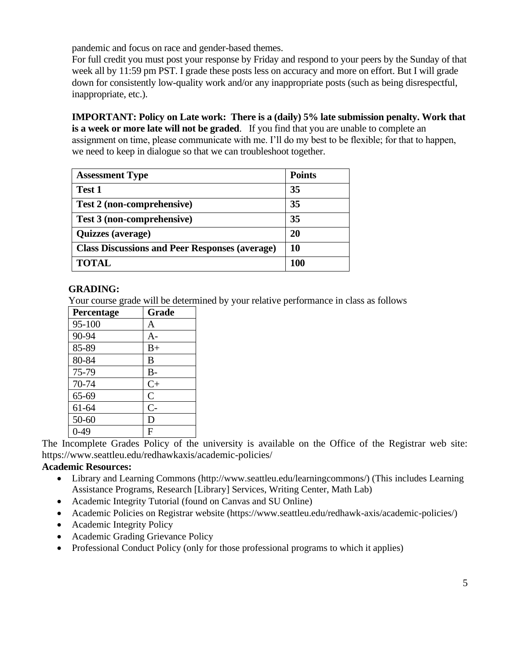pandemic and focus on race and gender-based themes.

For full credit you must post your response by Friday and respond to your peers by the Sunday of that week all by 11:59 pm PST. I grade these posts less on accuracy and more on effort. But I will grade down for consistently low-quality work and/or any inappropriate posts (such as being disrespectful, inappropriate, etc.).

**IMPORTANT: Policy on Late work: There is a (daily) 5% late submission penalty. Work that is a week or more late will not be graded**. If you find that you are unable to complete an assignment on time, please communicate with me. I'll do my best to be flexible; for that to happen, we need to keep in dialogue so that we can troubleshoot together.

| <b>Assessment Type</b>                                | <b>Points</b> |
|-------------------------------------------------------|---------------|
| <b>Test 1</b>                                         | 35            |
| Test 2 (non-comprehensive)                            | 35            |
| Test 3 (non-comprehensive)                            | 35            |
| <b>Quizzes</b> (average)                              | 20            |
| <b>Class Discussions and Peer Responses (average)</b> | 10            |
| <b>TOTAL</b>                                          | <b>100</b>    |

## **GRADING:**

Your course grade will be determined by your relative performance in class as follows

| Percentage | Grade         |
|------------|---------------|
| 95-100     | A             |
| 90-94      | $A-$          |
| 85-89      | $B+$          |
| 80-84      | B             |
| 75-79      | $B-$          |
| 70-74      | $C+$          |
| 65-69      | $\mathcal{C}$ |
| 61-64      | $C-$          |
| 50-60      | D             |
| 0-49       | F             |

The Incomplete Grades Policy of the university is available on the Office of the Registrar web site: https://www.seattleu.edu/redhawkaxis/academic-policies/

### **Academic Resources:**

- Library and Learning Commons (http://www.seattleu.edu/learningcommons/) (This includes Learning Assistance Programs, Research [Library] Services, Writing Center, Math Lab)
- Academic Integrity Tutorial (found on Canvas and SU Online)
- Academic Policies on Registrar website (https://www.seattleu.edu/redhawk-axis/academic-policies/)
- Academic Integrity Policy
- Academic Grading Grievance Policy
- Professional Conduct Policy (only for those professional programs to which it applies)